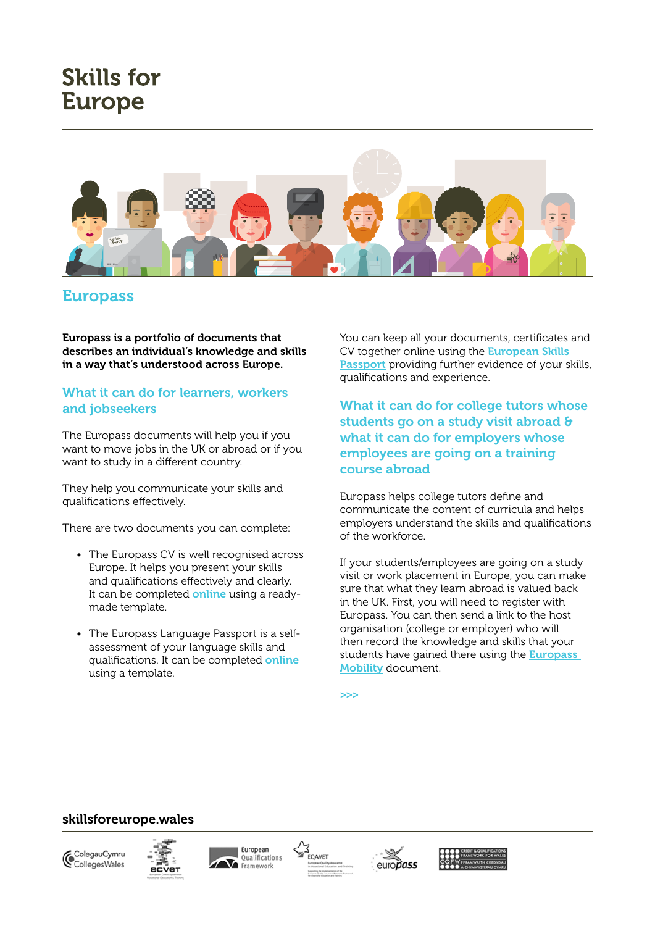## **Skills for Europe**



## Europass

Europass is a portfolio of documents that describes an individual's knowledge and skills in a way that's understood across Europe.

### What it can do for learners, workers and jobseekers

The Europass documents will help you if you want to move jobs in the UK or abroad or if you want to study in a different country.

They help you communicate your skills and qualifications effectively.

There are two documents you can complete:

- The Europass CV is well recognised across Europe. It helps you present your skills and qualifications effectively and clearly. It can be completed **[online](https://europass.cedefop.europa.eu/en/documents/curriculum-vitae  )** using a readymade template.
- The Europass Language Passport is a selfassessment of your language skills and qualifications. It can be completed [online](https://europass.cedefop.europa.eu/en/documents/european-skills-passport  ) using a template.

You can keep all your documents, certificates and CV together online using the [European Skills](https://europass.cedefop.europa.eu/en/documents/european-skills-passport)  [Passport](https://europass.cedefop.europa.eu/en/documents/european-skills-passport) providing further evidence of your skills, qualifications and experience.

What it can do for college tutors whose students go on a study visit abroad & what it can do for employers whose employees are going on a training course abroad

Europass helps college tutors define and communicate the content of curricula and helps employers understand the skills and qualifications of the workforce.

If your students/employees are going on a study visit or work placement in Europe, you can make sure that what they learn abroad is valued back in the UK. First, you will need to register with Europass. You can then send a link to the host organisation (college or employer) who will then record the knowledge and skills that your students have gained there using the **Europass** Mobility document.

>>>

#### skillsforeurope.wales